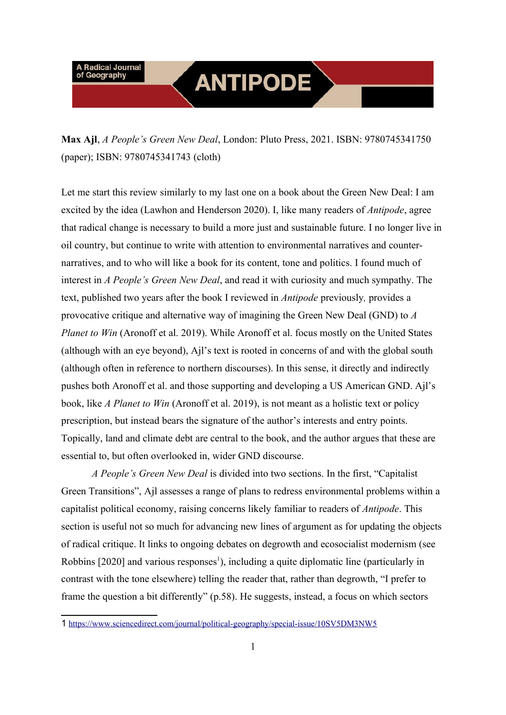# **ANTIPODE**

Let me start this review similarly to my last one on a book about the Green New Deal: I am excited by the idea (Lawhon and Henderson 2020). I, like many readers of *Antipode*, agree that radical change is necessary to build a more just and sustainable future. I no longer live in oil country, but continue to write with attention to environmental narratives and counternarratives, and to who will like a book for its content, tone and politics. I found much of interest in *A People's Green New Deal*, and read it with curiosity and much sympathy. The text, published two years after the book I reviewed in *Antipode* previously*,* provides a provocative critique and alternative way of imagining the Green New Deal (GND) to *A Planet to Win* (Aronoff et al. 2019). While Aronoff et al. focus mostly on the United States (although with an eye beyond), Ajl's text is rooted in concerns of and with the global south (although often in reference to northern discourses). In this sense, it directly and indirectly pushes both Aronoff et al. and those supporting and developing a US American GND. Ajl's book, like *A Planet to Win* (Aronoff et al. 2019), is not meant as a holistic text or policy prescription, but instead bears the signature of the author's interests and entry points. Topically, land and climate debt are central to the book, and the author argues that these are essential to, but often overlooked in, wider GND discourse.

*A People's Green New Deal* is divided into two sections. In the first, "Capitalist Green Transitions", Ajl assesses a range of plans to redress environmental problems within a capitalist politi[ca](#page-0-0)l economy, raising concerns likely familiar to readers of *Antipode*. This section is useful not so much for advancing new lines of argument as for updating the objects of radical critique. It links to ongoing debates on degrowth and ecosocialist modernism (see [Robbins \[2020\] and various responses](https://www.sciencedirect.com/journal/political-geography/special-issue/10SV5DM3NW5)<sup>1</sup>), including a quite diplomatic line (particularly in contrast with the tone elsewhere) telling the reader that, rather than degrowth, "I prefer to frame the question a bit differently" (p.58). He suggests, instead, a focus on which sectors

**Max Ajl**, *A People's Green New Deal*, London: Pluto Press, 2021. ISBN: 9780745341750 (paper); ISBN: 9780745341743 (cloth)

<span id="page-0-0"></span><sup>1</sup> https://www.sciencedirect.com/journal/political-geography/special-issue/10SV5DM3NW5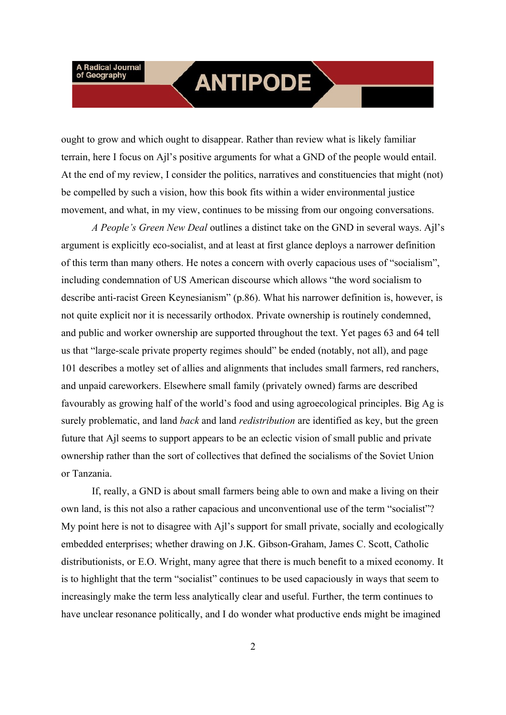## **ANTIPODE**

ought to grow and which ought to disappear. Rather than review what is likely familiar terrain, here I focus on Ajl's positive arguments for what a GND of the people would entail. At the end of my review, I consider the politics, narratives and constituencies that might (not) be compelled by such a vision, how this book fits within a wider environmental justice movement, and what, in my view, continues to be missing from our ongoing conversations.

*A People's Green New Deal* outlines a distinct take on the GND in several ways. Ajl's argument is explicitly eco-socialist, and at least at first glance deploys a narrower definition of this term than many others. He notes a concern with overly capacious uses of "socialism", including condemnation of US American discourse which allows "the word socialism to describe anti-racist Green Keynesianism" (p.86). What his narrower definition is, however, is not quite explicit nor it is necessarily orthodox. Private ownership is routinely condemned, and public and worker ownership are supported throughout the text. Yet pages 63 and 64 tell us that "large-scale private property regimes should" be ended (notably, not all), and page 101 describes a motley set of allies and alignments that includes small farmers, red ranchers, and unpaid careworkers. Elsewhere small family (privately owned) farms are described favourably as growing half of the world's food and using agroecological principles. Big Ag is surely problematic, and land *back* and land *redistribution* are identified as key, but the green future that Ajl seems to support appears to be an eclectic vision of small public and private ownership rather than the sort of collectives that defined the socialisms of the Soviet Union or Tanzania.

If, really, a GND is about small farmers being able to own and make a living on their own land, is this not also a rather capacious and unconventional use of the term "socialist"? My point here is not to disagree with Ajl's support for small private, socially and ecologically embedded enterprises; whether drawing on J.K. Gibson-Graham, James C. Scott, Catholic distributionists, or E.O. Wright, many agree that there is much benefit to a mixed economy. It is to highlight that the term "socialist" continues to be used capaciously in ways that seem to increasingly make the term less analytically clear and useful. Further, the term continues to have unclear resonance politically, and I do wonder what productive ends might be imagined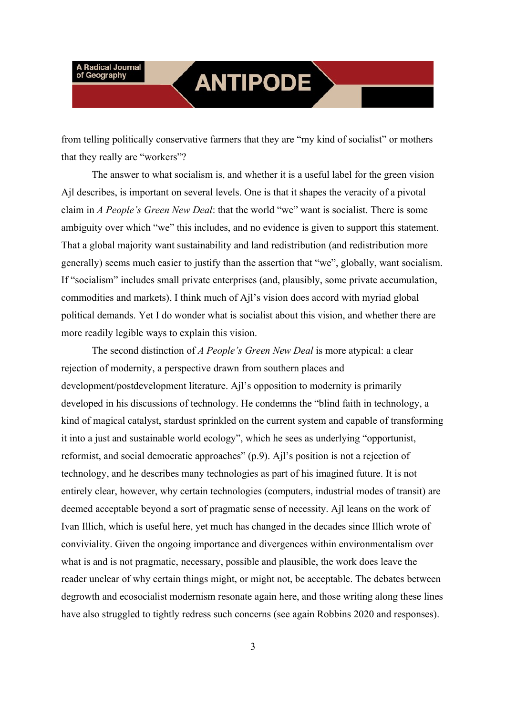## **ANTIPODE**

from telling politically conservative farmers that they are "my kind of socialist" or mothers that they really are "workers"?

The answer to what socialism is, and whether it is a useful label for the green vision Ajl describes, is important on several levels. One is that it shapes the veracity of a pivotal claim in *A People's Green New Deal*: that the world "we" want is socialist. There is some ambiguity over which "we" this includes, and no evidence is given to support this statement. That a global majority want sustainability and land redistribution (and redistribution more generally) seems much easier to justify than the assertion that "we", globally, want socialism. If "socialism" includes small private enterprises (and, plausibly, some private accumulation, commodities and markets), I think much of Ajl's vision does accord with myriad global political demands. Yet I do wonder what is socialist about this vision, and whether there are more readily legible ways to explain this vision.

The second distinction of *A People's Green New Deal* is more atypical: a clear rejection of modernity, a perspective drawn from southern places and development/postdevelopment literature. Ajl's opposition to modernity is primarily developed in his discussions of technology. He condemns the "blind faith in technology, a kind of magical catalyst, stardust sprinkled on the current system and capable of transforming it into a just and sustainable world ecology", which he sees as underlying "opportunist, reformist, and social democratic approaches" (p.9). Ajl's position is not a rejection of technology, and he describes many technologies as part of his imagined future. It is not entirely clear, however, why certain technologies (computers, industrial modes of transit) are deemed acceptable beyond a sort of pragmatic sense of necessity. Ajl leans on the work of Ivan Illich, which is useful here, yet much has changed in the decades since Illich wrote of conviviality. Given the ongoing importance and divergences within environmentalism over what is and is not pragmatic, necessary, possible and plausible, the work does leave the reader unclear of why certain things might, or might not, be acceptable. The debates between degrowth and ecosocialist modernism resonate again here, and those writing along these lines have also struggled to tightly redress such concerns (see again Robbins 2020 and responses).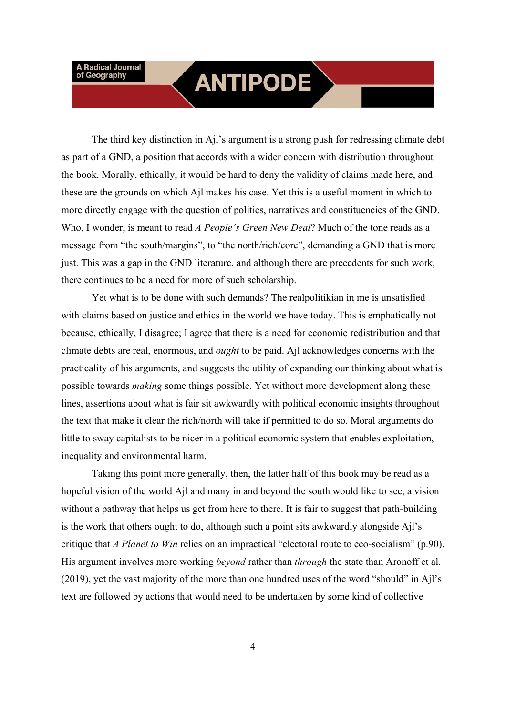## **ANTIPODE**

The third key distinction in Ajl's argument is a strong push for redressing climate debt as part of a GND, a position that accords with a wider concern with distribution throughout the book. Morally, ethically, it would be hard to deny the validity of claims made here, and these are the grounds on which Ajl makes his case. Yet this is a useful moment in which to more directly engage with the question of politics, narratives and constituencies of the GND. Who, I wonder, is meant to read *A People's Green New Deal*? Much of the tone reads as a message from "the south/margins", to "the north/rich/core", demanding a GND that is more just. This was a gap in the GND literature, and although there are precedents for such work, there continues to be a need for more of such scholarship.

Yet what is to be done with such demands? The realpolitikian in me is unsatisfied with claims based on justice and ethics in the world we have today. This is emphatically not because, ethically, I disagree; I agree that there is a need for economic redistribution and that climate debts are real, enormous, and *ought* to be paid. Ajl acknowledges concerns with the practicality of his arguments, and suggests the utility of expanding our thinking about what is possible towards *making* some things possible. Yet without more development along these lines, assertions about what is fair sit awkwardly with political economic insights throughout the text that make it clear the rich/north will take if permitted to do so. Moral arguments do little to sway capitalists to be nicer in a political economic system that enables exploitation, inequality and environmental harm.

Taking this point more generally, then, the latter half of this book may be read as a hopeful vision of the world Ajl and many in and beyond the south would like to see, a vision without a pathway that helps us get from here to there. It is fair to suggest that path-building is the work that others ought to do, although such a point sits awkwardly alongside Ajl's critique that *A Planet to Win* relies on an impractical "electoral route to eco-socialism" (p.90). His argument involves more working *beyond* rather than *through* the state than Aronoff et al. (2019), yet the vast majority of the more than one hundred uses of the word "should" in Ajl's text are followed by actions that would need to be undertaken by some kind of collective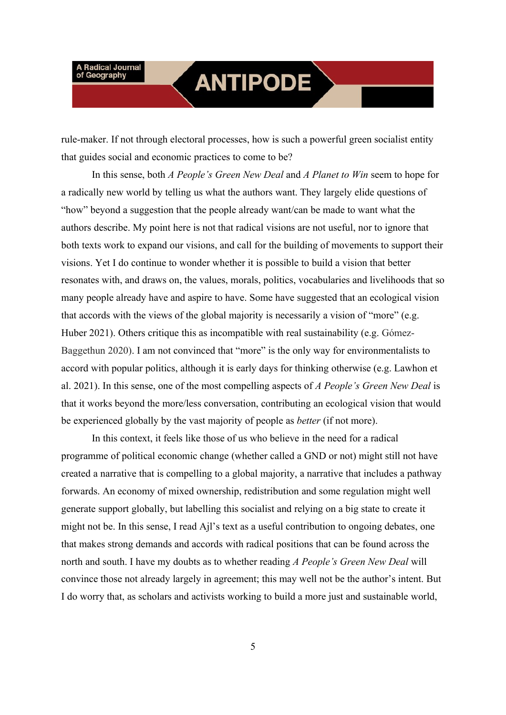## **ANTIPODE**

rule-maker. If not through electoral processes, how is such a powerful green socialist entity that guides social and economic practices to come to be?

In this sense, both *A People's Green New Deal* and *A Planet to Win* seem to hope for a radically new world by telling us what the authors want. They largely elide questions of "how" beyond a suggestion that the people already want/can be made to want what the authors describe. My point here is not that radical visions are not useful, nor to ignore that both texts work to expand our visions, and call for the building of movements to support their visions. Yet I do continue to wonder whether it is possible to build a vision that better resonates with, and draws on, the values, morals, politics, vocabularies and livelihoods that so many people already have and aspire to have. Some have suggested that an ecological vision that accords with the views of the global majority is necessarily a vision of "more" (e.g. Huber 2021). Others critique this as incompatible with real sustainability (e.g. Gómez-Baggethun 2020). I am not convinced that "more" is the only way for environmentalists to accord with popular politics, although it is early days for thinking otherwise (e.g. Lawhon et al. 2021). In this sense, one of the most compelling aspects of *A People's Green New Deal* is that it works beyond the more/less conversation, contributing an ecological vision that would be experienced globally by the vast majority of people as *better* (if not more).

In this context, it feels like those of us who believe in the need for a radical programme of political economic change (whether called a GND or not) might still not have created a narrative that is compelling to a global majority, a narrative that includes a pathway forwards. An economy of mixed ownership, redistribution and some regulation might well generate support globally, but labelling this socialist and relying on a big state to create it might not be. In this sense, I read Ajl's text as a useful contribution to ongoing debates, one that makes strong demands and accords with radical positions that can be found across the north and south. I have my doubts as to whether reading *A People's Green New Deal* will convince those not already largely in agreement; this may well not be the author's intent. But I do worry that, as scholars and activists working to build a more just and sustainable world,